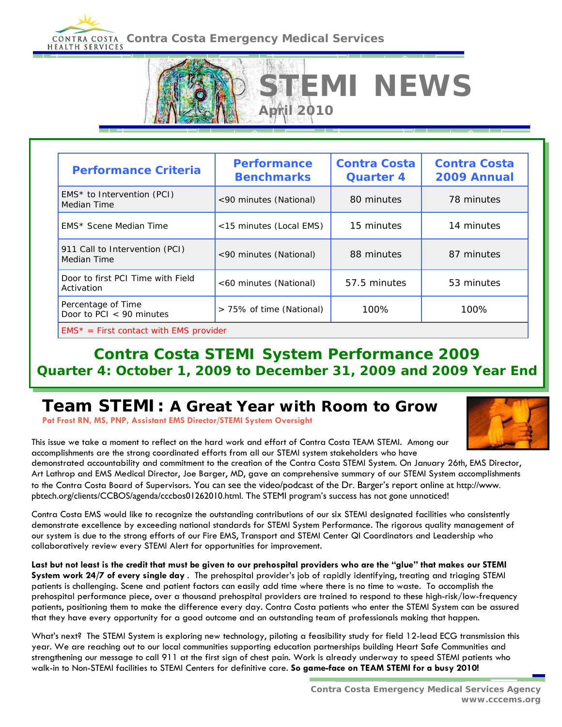# **CONTRA COSTA Contra Costa Emergency Medical Services**

| <b>Performance Criteria</b>                      | <b>Performance</b><br><b>Benchmarks</b> | <b>Contra Costa</b><br><b>Quarter 4</b> | <b>Contra Costa</b><br>2009 Annual |
|--------------------------------------------------|-----------------------------------------|-----------------------------------------|------------------------------------|
| $EMS*$ to Intervention (PCI)<br>Median Time      | <90 minutes (National)                  | 80 minutes                              | 78 minutes                         |
| EMS* Scene Median Time                           | <15 minutes (Local EMS)                 | 15 minutes                              | 14 minutes                         |
| 911 Call to Intervention (PCI)<br>Median Time    | <90 minutes (National)                  | 88 minutes                              | 87 minutes                         |
| Door to first PCI Time with Field<br>Activation  | <60 minutes (National)                  | 57.5 minutes                            | 53 minutes                         |
| Percentage of Time<br>Door to PCI $<$ 90 minutes | > 75% of time (National)                | 100%                                    | 100%                               |

**April 2010** 

**MI NEWS** 

#### **Contra Costa STEMI System Performance 2009 Quarter 4: October 1, 2009 to December 31, 2009 and 2009 Year End**

# **Team STEMI: A Great Year with Room to Grow**

**Pat Frost RN, MS, PNP, Assistant EMS Director/STEMI System Oversight** 



This issue we take a moment to reflect on the hard work and effort of Contra Costa TEAM STEMI. Among our accomplishments are the strong coordinated efforts from all our STEMI system stakeholders who have

demonstrated accountability and commitment to the creation of the Contra Costa STEMI System. On January 26th, EMS Director, Art Lathrop and EMS Medical Director, Joe Barger, MD, gave an comprehensive summary of our STEMI System accomplishments to the Contra Costa Board of Supervisors. You can see the video/podcast of the Dr. Barger's report online at http://www. pbtech.org/clients/CCBOS/agenda/cccbos01262010.html. The STEMI program's success has not gone unnoticed!

Contra Costa EMS would like to recognize the outstanding contributions of our six STEMI designated facilities who consistently demonstrate excellence by exceeding national standards for STEMI System Performance. The rigorous quality management of our system is due to the strong efforts of our Fire EMS, Transport and STEMI Center QI Coordinators and Leadership who collaboratively review every STEMI Alert for opportunities for improvement.

**Last but not least is the credit that must be given to our prehospital providers who are the "glue" that makes our STEMI System work 24/7 of every single day** . The prehospital provider's job of rapidly identifying, treating and triaging STEMI patients is challenging. Scene and patient factors can easily add time where there is no time to waste. To accomplish the prehospital performance piece, over a thousand prehospital providers are trained to respond to these high-risk/low-frequency patients, positioning them to make the difference every day. Contra Costa patients who enter the STEMI System can be assured that they have every opportunity for a good outcome and an outstanding team of professionals making that happen.

What's next? The STEMI System is exploring new technology, piloting a feasibility study for field 12-lead ECG transmission this year. We are reaching out to our local communities supporting education partnerships building Heart Safe Communities and strengthening our message to call 911 at the first sign of chest pain. Work is already underway to speed STEMI patients who walk-in to Non-STEMI facilities to STEMI Centers for definitive care. **So game-face on TEAM STEMI for a busy 2010!**